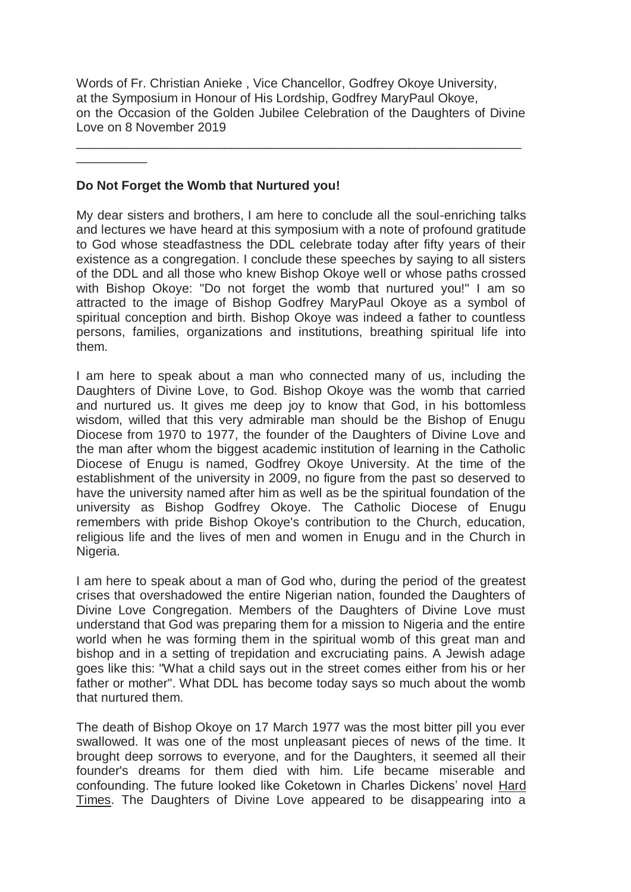Words of Fr. Christian Anieke , Vice Chancellor, Godfrey Okoye University, at the Symposium in Honour of His Lordship, Godfrey MaryPaul Okoye, on the Occasion of the Golden Jubilee Celebration of the Daughters of Divine Love on 8 November 2019

\_\_\_\_\_\_\_\_\_\_\_\_\_\_\_\_\_\_\_\_\_\_\_\_\_\_\_\_\_\_\_\_\_\_\_\_\_\_\_\_\_\_\_\_\_\_\_\_\_\_\_\_\_\_\_\_\_\_\_\_\_\_\_

## **Do Not Forget the Womb that Nurtured you!**

\_\_\_\_\_\_\_\_\_\_

My dear sisters and brothers, I am here to conclude all the soul-enriching talks and lectures we have heard at this symposium with a note of profound gratitude to God whose steadfastness the DDL celebrate today after fifty years of their existence as a congregation. I conclude these speeches by saying to all sisters of the DDL and all those who knew Bishop Okoye well or whose paths crossed with Bishop Okoye: "Do not forget the womb that nurtured you!" I am so attracted to the image of Bishop Godfrey MaryPaul Okoye as a symbol of spiritual conception and birth. Bishop Okoye was indeed a father to countless persons, families, organizations and institutions, breathing spiritual life into them.

I am here to speak about a man who connected many of us, including the Daughters of Divine Love, to God. Bishop Okoye was the womb that carried and nurtured us. It gives me deep joy to know that God, in his bottomless wisdom, willed that this very admirable man should be the Bishop of Enugu Diocese from 1970 to 1977, the founder of the Daughters of Divine Love and the man after whom the biggest academic institution of learning in the Catholic Diocese of Enugu is named, Godfrey Okoye University. At the time of the establishment of the university in 2009, no figure from the past so deserved to have the university named after him as well as be the spiritual foundation of the university as Bishop Godfrey Okoye. The Catholic Diocese of Enugu remembers with pride Bishop Okoye's contribution to the Church, education, religious life and the lives of men and women in Enugu and in the Church in Nigeria.

I am here to speak about a man of God who, during the period of the greatest crises that overshadowed the entire Nigerian nation, founded the Daughters of Divine Love Congregation. Members of the Daughters of Divine Love must understand that God was preparing them for a mission to Nigeria and the entire world when he was forming them in the spiritual womb of this great man and bishop and in a setting of trepidation and excruciating pains. A Jewish adage goes like this: "What a child says out in the street comes either from his or her father or mother". What DDL has become today says so much about the womb that nurtured them.

The death of Bishop Okoye on 17 March 1977 was the most bitter pill you ever swallowed. It was one of the most unpleasant pieces of news of the time. It brought deep sorrows to everyone, and for the Daughters, it seemed all their founder's dreams for them died with him. Life became miserable and confounding. The future looked like Coketown in Charles Dickens' novel Hard Times. The Daughters of Divine Love appeared to be disappearing into a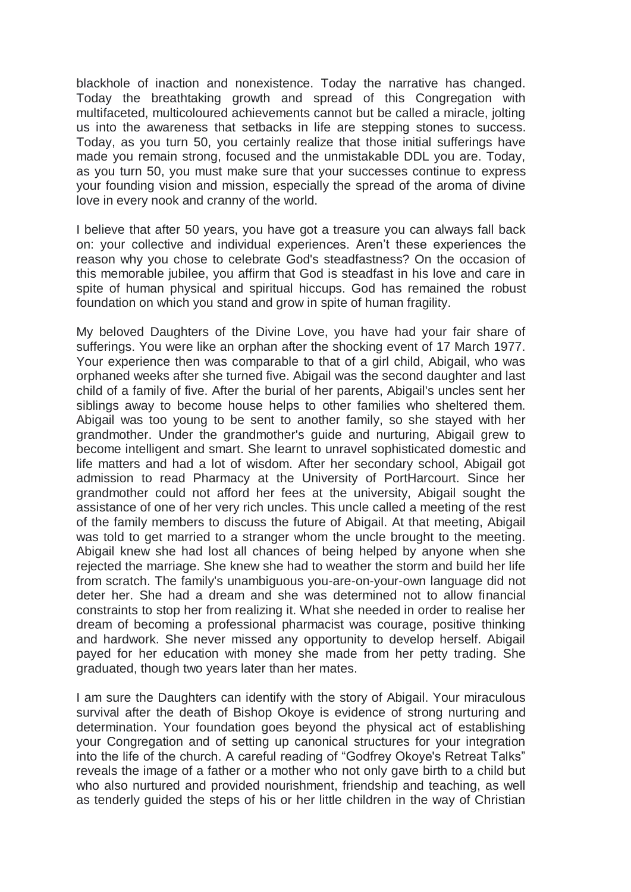blackhole of inaction and nonexistence. Today the narrative has changed. Today the breathtaking growth and spread of this Congregation with multifaceted, multicoloured achievements cannot but be called a miracle, jolting us into the awareness that setbacks in life are stepping stones to success. Today, as you turn 50, you certainly realize that those initial sufferings have made you remain strong, focused and the unmistakable DDL you are. Today, as you turn 50, you must make sure that your successes continue to express your founding vision and mission, especially the spread of the aroma of divine love in every nook and cranny of the world.

I believe that after 50 years, you have got a treasure you can always fall back on: your collective and individual experiences. Aren't these experiences the reason why you chose to celebrate God's steadfastness? On the occasion of this memorable jubilee, you affirm that God is steadfast in his love and care in spite of human physical and spiritual hiccups. God has remained the robust foundation on which you stand and grow in spite of human fragility.

My beloved Daughters of the Divine Love, you have had your fair share of sufferings. You were like an orphan after the shocking event of 17 March 1977. Your experience then was comparable to that of a girl child, Abigail, who was orphaned weeks after she turned five. Abigail was the second daughter and last child of a family of five. After the burial of her parents, Abigail's uncles sent her siblings away to become house helps to other families who sheltered them. Abigail was too young to be sent to another family, so she stayed with her grandmother. Under the grandmother's guide and nurturing, Abigail grew to become intelligent and smart. She learnt to unravel sophisticated domestic and life matters and had a lot of wisdom. After her secondary school, Abigail got admission to read Pharmacy at the University of PortHarcourt. Since her grandmother could not afford her fees at the university, Abigail sought the assistance of one of her very rich uncles. This uncle called a meeting of the rest of the family members to discuss the future of Abigail. At that meeting, Abigail was told to get married to a stranger whom the uncle brought to the meeting. Abigail knew she had lost all chances of being helped by anyone when she rejected the marriage. She knew she had to weather the storm and build her life from scratch. The family's unambiguous you-are-on-your-own language did not deter her. She had a dream and she was determined not to allow financial constraints to stop her from realizing it. What she needed in order to realise her dream of becoming a professional pharmacist was courage, positive thinking and hardwork. She never missed any opportunity to develop herself. Abigail payed for her education with money she made from her petty trading. She graduated, though two years later than her mates.

I am sure the Daughters can identify with the story of Abigail. Your miraculous survival after the death of Bishop Okoye is evidence of strong nurturing and determination. Your foundation goes beyond the physical act of establishing your Congregation and of setting up canonical structures for your integration into the life of the church. A careful reading of "Godfrey Okoye's Retreat Talks" reveals the image of a father or a mother who not only gave birth to a child but who also nurtured and provided nourishment, friendship and teaching, as well as tenderly guided the steps of his or her little children in the way of Christian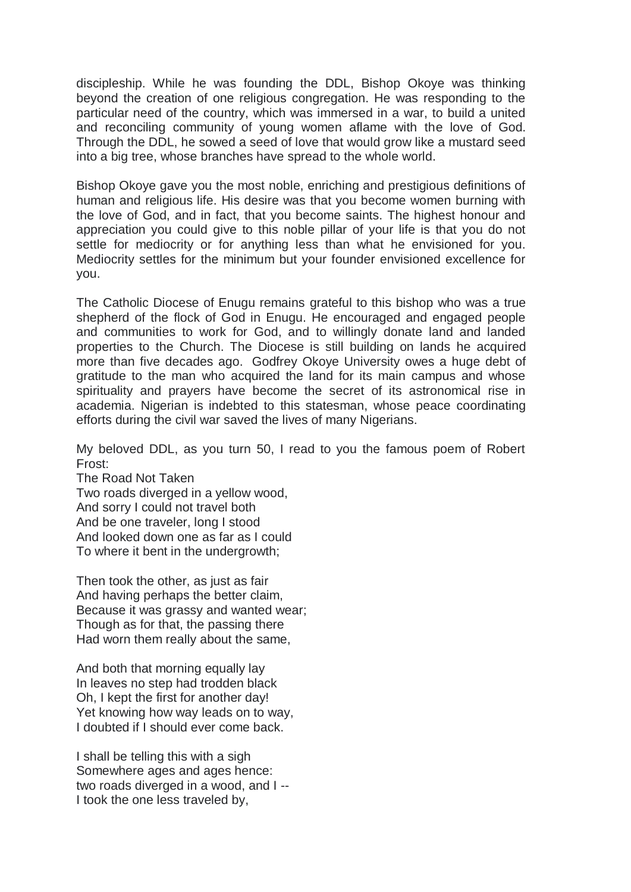discipleship. While he was founding the DDL, Bishop Okoye was thinking beyond the creation of one religious congregation. He was responding to the particular need of the country, which was immersed in a war, to build a united and reconciling community of young women aflame with the love of God. Through the DDL, he sowed a seed of love that would grow like a mustard seed into a big tree, whose branches have spread to the whole world.

Bishop Okoye gave you the most noble, enriching and prestigious definitions of human and religious life. His desire was that you become women burning with the love of God, and in fact, that you become saints. The highest honour and appreciation you could give to this noble pillar of your life is that you do not settle for mediocrity or for anything less than what he envisioned for you. Mediocrity settles for the minimum but your founder envisioned excellence for you.

The Catholic Diocese of Enugu remains grateful to this bishop who was a true shepherd of the flock of God in Enugu. He encouraged and engaged people and communities to work for God, and to willingly donate land and landed properties to the Church. The Diocese is still building on lands he acquired more than five decades ago. Godfrey Okoye University owes a huge debt of gratitude to the man who acquired the land for its main campus and whose spirituality and prayers have become the secret of its astronomical rise in academia. Nigerian is indebted to this statesman, whose peace coordinating efforts during the civil war saved the lives of many Nigerians.

My beloved DDL, as you turn 50, I read to you the famous poem of Robert Frost:

The Road Not Taken Two roads diverged in a yellow wood, And sorry I could not travel both And be one traveler, long I stood And looked down one as far as I could To where it bent in the undergrowth;

Then took the other, as just as fair And having perhaps the better claim, Because it was grassy and wanted wear; Though as for that, the passing there Had worn them really about the same,

And both that morning equally lay In leaves no step had trodden black Oh, I kept the first for another day! Yet knowing how way leads on to way, I doubted if I should ever come back.

I shall be telling this with a sigh Somewhere ages and ages hence: two roads diverged in a wood, and I -- I took the one less traveled by,